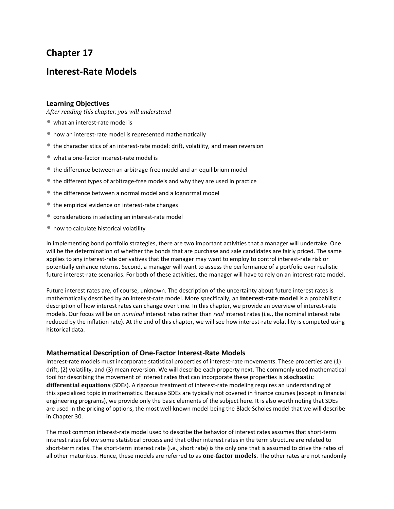# **Chapter 17**

# **Interest-Rate Models**

# **Learning Objectives**

*After reading this chapter, you will understand*

- what an interest-rate model is
- how an interest-rate model is represented mathematically
- the characteristics of an interest-rate model: drift, volatility, and mean reversion
- what a one-factor interest-rate model is
- the difference between an arbitrage-free model and an equilibrium model
- the different types of arbitrage-free models and why they are used in practice
- the difference between a normal model and a lognormal model
- the empirical evidence on interest-rate changes
- considerations in selecting an interest-rate model
- how to calculate historical volatility

In implementing bond portfolio strategies, there are two important activities that a manager will undertake. One will be the determination of whether the bonds that are purchase and sale candidates are fairly priced. The same applies to any interest-rate derivatives that the manager may want to employ to control interest-rate risk or potentially enhance returns. Second, a manager will want to assess the performance of a portfolio over realistic future interest-rate scenarios. For both of these activities, the manager will have to rely on an interest-rate model.

Future interest rates are, of course, unknown. The description of the uncertainty about future interest rates is mathematically described by an interest-rate model. More specifically, an **interest-rate model** is a probabilistic description of how interest rates can change over time. In this chapter, we provide an overview of interest-rate models. Our focus will be on *nominal* interest rates rather than *real* interest rates (i.e., the nominal interest rate reduced by the inflation rate). At the end of this chapter, we will see how interest-rate volatility is computed using historical data.

#### **Mathematical Description of One-Factor Interest-Rate Models**

Interest-rate models must incorporate statistical properties of interest-rate movements. These properties are (1) drift, (2) volatility, and (3) mean reversion. We will describe each property next. The commonly used mathematical tool for describing the movement of interest rates that can incorporate these properties is **stochastic differential equations** (SDEs). A rigorous treatment of interest-rate modeling requires an understanding of this specialized topic in mathematics. Because SDEs are typically not covered in finance courses (except in financial engineering programs), we provide only the basic elements of the subject here. It is also worth noting that SDEs are used in the pricing of options, the most well-known model being the Black-Scholes model that we will describe in Chapter 30.

The most common interest-rate model used to describe the behavior of interest rates assumes that short-term interest rates follow some statistical process and that other interest rates in the term structure are related to short-term rates. The short-term interest rate (i.e., short rate) is the only one that is assumed to drive the rates of all other maturities. Hence, these models are referred to as **one-factor models**. The other rates are not randomly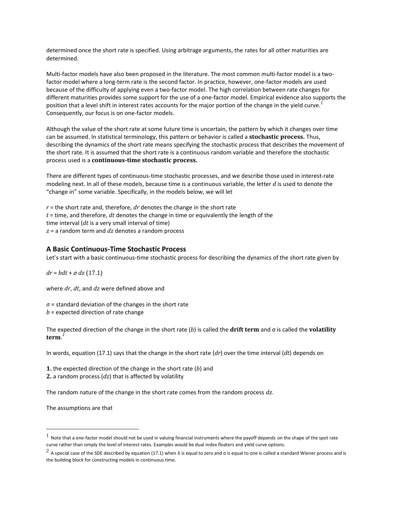determined once the short rate is specified. Using arbitrage arguments, the rates for all other maturities are determined.

Multi-factor models have also been proposed in the literature. The most common multi-factor model is a twofactor model where a long-term rate is the second factor. In practice, however, one-factor models are used because of the difficulty of applying even a two-factor model. The high correlation between rate changes for different maturities provides some support for the use of a one-factor model. Empirical evidence also supports the position that a level shift in interest rates accounts for the major portion of the change in the yield curve.<sup>1</sup> Consequently, our focus is on one-factor models.

Although the value of the short rate at some future time is uncertain, the pattern by which it changes over time can be assumed. In statistical terminology, this pattern or behavior is called a **stochastic process.** Thus, describing the dynamics of the short rate means specifying the stochastic process that describes the movement of the short rate. It is assumed that the short rate is a continuous random variable and therefore the stochastic process used is a **continuous-time stochastic process.**

There are different types of continuous-time stochastic processes, and we describe those used in interest-rate modeling next. In all of these models, because time is a continuous variable, the letter *d* is used to denote the "change in" some variable. Specifically, in the models below, we will let

*r* = the short rate and, therefore, *dr* denotes the change in the short rate *t* = time, and therefore, *dt* denotes the change in time or equivalently the length of the time interval (*dt* is a very small interval of time) *z* = a random term and *dz* denotes a random process

## **A Basic Continuous-Time Stochastic Process**

Let's start with a basic continuous-time stochastic process for describing the dynamics of the short rate given by

 $dr = bdt + σ dz$  (17.1)

where *dr*, *dt*, and *dz* were defined above and

*σ* = standard deviation of the changes in the short rate

*b* = expected direction of rate change

The expected direction of the change in the short rate (*b*) is called the **drift term** and σ is called the **volatility term**. 2

In words, equation (17.1) says that the change in the short rate (*dr*) over the time interval (*dt*) depends on

**1.** the expected direction of the change in the short rate (*b*) and

**2.** a random process (*dz*) that is affected by volatility

The random nature of the change in the short rate comes from the random process *dz*.

The assumptions are that

 $^1$  Note that a one-factor model should not be used in valuing financial instruments where the payoff depends on the shape of the spot rate curve rather than simply the level of interest rates. Examples would be dual index floaters and yield curve options.

<sup>2</sup> A special case of the SDE described by equation (17.1) when *b* is equal to zero and σ is equal to one is called a standard Wiener process and is the building block for constructing models in continuous time.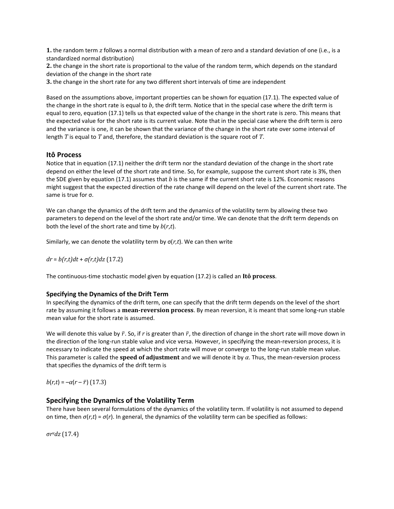**1.** the random term *z* follows a normal distribution with a mean of zero and a standard deviation of one (i.e., is a standardized normal distribution)

**2.** the change in the short rate is proportional to the value of the random term, which depends on the standard deviation of the change in the short rate

**3.** the change in the short rate for any two different short intervals of time are independent

Based on the assumptions above, important properties can be shown for equation (17.1). The expected value of the change in the short rate is equal to *b*, the drift term. Notice that in the special case where the drift term is equal to zero, equation (17.1) tells us that expected value of the change in the short rate is zero. This means that the expected value for the short rate is its current value. Note that in the special case where the drift term is zero and the variance is one, it can be shown that the variance of the change in the short rate over some interval of length *T* is equal to *T* and, therefore, the standard deviation is the square root of *T*.

# **Itô Process**

Notice that in equation (17.1) neither the drift term nor the standard deviation of the change in the short rate depend on either the level of the short rate and time. So, for example, suppose the current short rate is 3%, then the SDE given by equation (17.1) assumes that *b* is the same if the current short rate is 12%. Economic reasons might suggest that the expected direction of the rate change will depend on the level of the current short rate. The same is true for σ.

We can change the dynamics of the drift term and the dynamics of the volatility term by allowing these two parameters to depend on the level of the short rate and/or time. We can denote that the drift term depends on both the level of the short rate and time by *b*(*r*,*t*).

Similarly, we can denote the volatility term by  $\sigma(r,t)$ . We can then write

*dr* = *b(r,t)dt* + *σ(r,t)dz* (17.2)

The continuous-time stochastic model given by equation (17.2) is called an **Itô process**.

#### **Specifying the Dynamics of the Drift Term**

In specifying the dynamics of the drift term, one can specify that the drift term depends on the level of the short rate by assuming it follows a **mean-reversion process**. By mean reversion, it is meant that some long-run stable mean value for the short rate is assumed.

We will denote this value by  $\bar{r}$ . So, if r is greater than  $\bar{r}$ , the direction of change in the short rate will move down in the direction of the long-run stable value and vice versa. However, in specifying the mean-reversion process, it is necessary to indicate the speed at which the short rate will move or converge to the long-run stable mean value. This parameter is called the **speed of adjustment** and we will denote it by *α*. Thus, the mean-reversion process that specifies the dynamics of the drift term is

*b*(*r*,*t*) = – $\alpha$ (*r* –  $\bar{r}$ ) (17.3)

# **Specifying the Dynamics of the Volatility Term**

There have been several formulations of the dynamics of the volatility term. If volatility is not assumed to depend on time, then  $\sigma(r,t) = \sigma(r)$ . In general, the dynamics of the volatility term can be specified as follows:

*σr γdz* (17.4)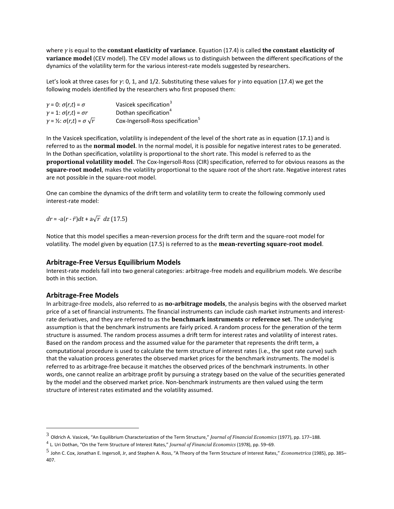where *γ* is equal to the **constant elasticity of variance**. Equation (17.4) is called **the constant elasticity of variance model** (CEV model). The CEV model allows us to distinguish between the different specifications of the dynamics of the volatility term for the various interest-rate models suggested by researchers.

Let's look at three cases for *γ*: 0, 1, and 1/2. Substituting these values for *γ* into equation (17.4) we get the following models identified by the researchers who first proposed them:

| $\gamma = 0$ : $\sigma(r,t) = \sigma$                    | Vasicek specification <sup>3</sup>            |
|----------------------------------------------------------|-----------------------------------------------|
| $\gamma = 1$ : $\sigma(r,t) = \sigma r$                  | Dothan specification <sup>4</sup>             |
| $\gamma = \frac{1}{2}$ : $\sigma(r,t) = \sigma \sqrt{r}$ | Cox-Ingersoll-Ross specification <sup>5</sup> |

In the Vasicek specification, volatility is independent of the level of the short rate as in equation (17.1) and is referred to as the **normal model**. In the normal model, it is possible for negative interest rates to be generated. In the Dothan specification, volatility is proportional to the short rate. This model is referred to as the **proportional volatility model**. The Cox-Ingersoll-Ross (CIR) specification, referred to for obvious reasons as the **square-root model**, makes the volatility proportional to the square root of the short rate. Negative interest rates are not possible in the square-root model.

One can combine the dynamics of the drift term and volatility term to create the following commonly used interest-rate model:

 $dr = -a(r - \bar{r})dt + a\sqrt{r} dz$  (17.5)

Notice that this model specifies a mean-reversion process for the drift term and the square-root model for volatility. The model given by equation (17.5) is referred to as the **mean-reverting square-root model**.

# **Arbitrage-Free Versus Equilibrium Models**

Interest-rate models fall into two general categories: arbitrage-free models and equilibrium models. We describe both in this section.

#### **Arbitrage-Free Models**

In arbitrage-free models, also referred to as **no-arbitrage models**, the analysis begins with the observed market price of a set of financial instruments. The financial instruments can include cash market instruments and interestrate derivatives, and they are referred to as the **benchmark instruments** or **reference set**. The underlying assumption is that the benchmark instruments are fairly priced. A random process for the generation of the term structure is assumed. The random process assumes a drift term for interest rates and volatility of interest rates. Based on the random process and the assumed value for the parameter that represents the drift term, a computational procedure is used to calculate the term structure of interest rates (i.e., the spot rate curve) such that the valuation process generates the observed market prices for the benchmark instruments. The model is referred to as arbitrage-free because it matches the observed prices of the benchmark instruments. In other words, one cannot realize an arbitrage profit by pursuing a strategy based on the value of the securities generated by the model and the observed market price. Non-benchmark instruments are then valued using the term structure of interest rates estimated and the volatility assumed.

<sup>3</sup> Oldrich A. Vasicek, "An Equilibrium Characterization of the Term Structure," *Journal of Financial Economics* (1977), pp. 177–188.

<sup>4</sup> L. Uri Dothan, "On the Term Structure of Interest Rates," *Journal of Financial Economics* (1978), pp. 59–69.

<sup>5</sup> John C. Cox, Jonathan E. Ingersoll, Jr, and Stephen A. Ross, "A Theory of the Term Structure of Interest Rates," *Econometrica* (1985), pp. 385– 407.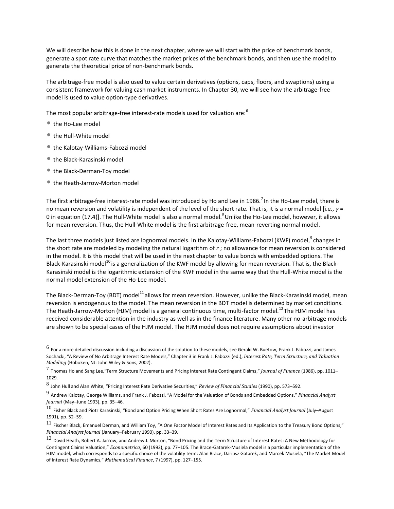We will describe how this is done in the next chapter, where we will start with the price of benchmark bonds, generate a spot rate curve that matches the market prices of the benchmark bonds, and then use the model to generate the theoretical price of non-benchmark bonds.

The arbitrage-free model is also used to value certain derivatives (options, caps, floors, and swaptions) using a consistent framework for valuing cash market instruments. In Chapter 30, we will see how the arbitrage-free model is used to value option-type derivatives.

The most popular arbitrage-free interest-rate models used for valuation are:<sup>6</sup>

- the Ho-Lee model
- the Hull-White model
- the Kalotay-Williams-Fabozzi model
- the Black-Karasinski model
- the Black-Derman-Toy model
- the Heath-Jarrow-Morton model

The first arbitrage-free interest-rate model was introduced by Ho and Lee in 1986.<sup>7</sup> In the Ho-Lee model, there is no mean reversion and volatility is independent of the level of the short rate. That is, it is a normal model [i.e., *γ* = 0 in equation (17.4)]. The Hull-White model is also a normal model. $^8$ Unlike the Ho-Lee model, however, it allows for mean reversion. Thus, the Hull-White model is the first arbitrage-free, mean-reverting normal model.

The last three models just listed are lognormal models. In the Kalotay-Williams-Fabozzi (KWF) model,<sup>9</sup>changes in the short rate are modeled by modeling the natural logarithm of *r* ; no allowance for mean reversion is considered in the model. It is this model that will be used in the next chapter to value bonds with embedded options. The Black-Karasinski model<sup>10</sup> is a generalization of the KWF model by allowing for mean reversion. That is, the Black-Karasinski model is the logarithmic extension of the KWF model in the same way that the Hull-White model is the normal model extension of the Ho-Lee model.

The Black-Derman-Toy (BDT) model<sup>11</sup> allows for mean reversion. However, unlike the Black-Karasinski model, mean reversion is endogenous to the model. The mean reversion in the BDT model is determined by market conditions. The Heath-Jarrow-Morton (HJM) model is a general continuous time, multi-factor model.<sup>12</sup> The HJM model has received considerable attention in the industry as well as in the finance literature. Many other no-arbitrage models are shown to be special cases of the HJM model. The HJM model does not require assumptions about investor

 $^6$  For a more detailed discussion including a discussion of the solution to these models, see Gerald W. Buetow, Frank J. Fabozzi, and James Sochacki, "A Review of No Arbitrage Interest Rate Models," Chapter 3 in Frank J. Fabozzi (ed.), *Interest Rate, Term Structure, and Valuation Modeling* (Hoboken, NJ: John Wiley & Sons, 2002).

<sup>7</sup> Thomas Ho and Sang Lee,"Term Structure Movements and Pricing Interest Rate Contingent Claims," *Journal of Finance* (1986), pp. 1011– 1029.

<sup>8</sup> John Hull and Alan White, "Pricing Interest Rate Derivative Securities," *Review of Financial Studies* (1990), pp. 573–592.

<sup>9</sup> Andrew Kalotay, George Williams, and Frank J. Fabozzi, "A Model for the Valuation of Bonds and Embedded Options," *Financial Analyst Journal* (May–June 1993), pp. 35–46.

<sup>10</sup> Fisher Black and Piotr Karasinski, "Bond and Option Pricing When Short Rates Are Lognormal," *Financial Analyst Journal* (July–August 1991), pp. 52–59.

 $^{11}$  Fischer Black, Emanuel Derman, and William Toy, "A One Factor Model of Interest Rates and Its Application to the Treasury Bond Options," *Financial Analyst Journal* (January–February 1990), pp. 33–39.

 $12$  David Heath, Robert A. Jarrow, and Andrew J. Morton, "Bond Pricing and the Term Structure of Interest Rates: A New Methodology for Contingent Claims Valuation," *Econometrica*, 60 (1992), pp. 77–105. The Brace-Gatarek-Musiela model is a particular implementation of the HJM model, which corresponds to a specific choice of the volatility term: Alan Brace, Dariusz Gatarek, and Marcek Musiela, "The Market Model of Interest Rate Dynamics," *Mathematical Finance*, 7 (1997), pp. 127–155.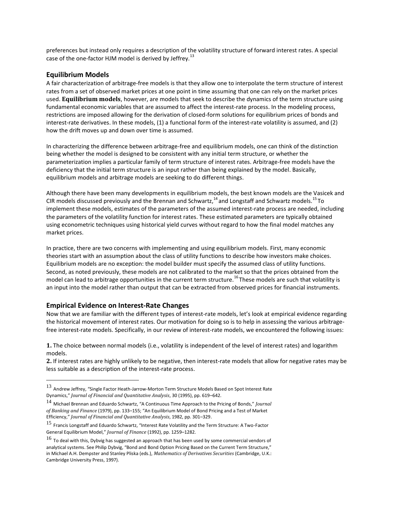preferences but instead only requires a description of the volatility structure of forward interest rates. A special case of the one-factor HJM model is derived by Jeffrey.<sup>13</sup>

## **Equilibrium Models**

A fair characterization of arbitrage-free models is that they allow one to interpolate the term structure of interest rates from a set of observed market prices at one point in time assuming that one can rely on the market prices used. **Equilibrium models**, however, are models that seek to describe the dynamics of the term structure using fundamental economic variables that are assumed to affect the interest-rate process. In the modeling process, restrictions are imposed allowing for the derivation of closed-form solutions for equilibrium prices of bonds and interest-rate derivatives. In these models, (1) a functional form of the interest-rate volatility is assumed, and (2) how the drift moves up and down over time is assumed.

In characterizing the difference between arbitrage-free and equilibrium models, one can think of the distinction being whether the model is designed to be consistent with any initial term structure, or whether the parameterization implies a particular family of term structure of interest rates. Arbitrage-free models have the deficiency that the initial term structure is an input rather than being explained by the model. Basically, equilibrium models and arbitrage models are seeking to do different things.

Although there have been many developments in equilibrium models, the best known models are the Vasicek and CIR models discussed previously and the Brennan and Schwartz, $14$  and Longstaff and Schwartz models.<sup>15</sup> To implement these models, estimates of the parameters of the assumed interest-rate process are needed, including the parameters of the volatility function for interest rates. These estimated parameters are typically obtained using econometric techniques using historical yield curves without regard to how the final model matches any market prices.

In practice, there are two concerns with implementing and using equilibrium models. First, many economic theories start with an assumption about the class of utility functions to describe how investors make choices. Equilibrium models are no exception: the model builder must specify the assumed class of utility functions. Second, as noted previously, these models are not calibrated to the market so that the prices obtained from the model can lead to arbitrage opportunities in the current term structure.<sup>16</sup> These models are such that volatility is an input into the model rather than output that can be extracted from observed prices for financial instruments.

# **Empirical Evidence on Interest-Rate Changes**

Now that we are familiar with the different types of interest-rate models, let's look at empirical evidence regarding the historical movement of interest rates. Our motivation for doing so is to help in assessing the various arbitragefree interest-rate models. Specifically, in our review of interest-rate models, we encountered the following issues:

**1.** The choice between normal models (i.e., volatility is independent of the level of interest rates) and logarithm models.

**2.** If interest rates are highly unlikely to be negative, then interest-rate models that allow for negative rates may be less suitable as a description of the interest-rate process.

 $^{13}$  Andrew Jeffrey, "Single Factor Heath-Jarrow-Morton Term Structure Models Based on Spot Interest Rate Dynamics," *Journal of Financial and Quantitative Analysis*, 30 (1995), pp. 619–642.

<sup>14</sup> Michael Brennan and Eduardo Schwartz, "A Continuous Time Approach to the Pricing of Bonds," *Journal of Banking and Finance* (1979), pp. 133–155; "An Equilibrium Model of Bond Pricing and a Test of Market Efficiency," *Journal of Financial and Quantitative Analysis*, 1982, pp. 301–329.

<sup>15</sup> Francis Longstaff and Eduardo Schwartz, "Interest Rate Volatility and the Term Structure: A Two-Factor General Equilibrium Model," *Journal of Finance* (1992), pp. 1259–1282.

 $^{16}$  To deal with this, Dybvig has suggested an approach that has been used by some commercial vendors of analytical systems. See Philip Dybvig, "Bond and Bond Option Pricing Based on the Current Term Structure," in Michael A.H. Dempster and Stanley Pliska (eds.), *Mathematics of Derivatives Securities* (Cambridge, U.K.: Cambridge University Press, 1997).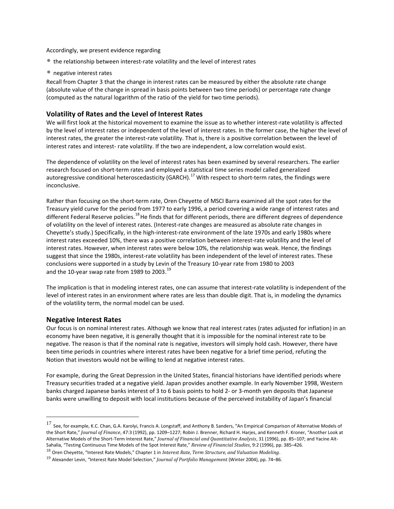Accordingly, we present evidence regarding

• the relationship between interest-rate volatility and the level of interest rates

#### • negative interest rates

Recall from Chapter 3 that the change in interest rates can be measured by either the absolute rate change (absolute value of the change in spread in basis points between two time periods) or percentage rate change (computed as the natural logarithm of the ratio of the yield for two time periods).

## **Volatility of Rates and the Level of Interest Rates**

We will first look at the historical movement to examine the issue as to whether interest-rate volatility is affected by the level of interest rates or independent of the level of interest rates. In the former case, the higher the level of interest rates, the greater the interest-rate volatility. That is, there is a positive correlation between the level of interest rates and interest- rate volatility. If the two are independent, a low correlation would exist.

The dependence of volatility on the level of interest rates has been examined by several researchers. The earlier research focused on short-term rates and employed a statistical time series model called generalized autoregressive conditional heteroscedasticity (GARCH).<sup>17</sup> With respect to short-term rates, the findings were inconclusive.

Rather than focusing on the short-term rate, Oren Cheyette of MSCI Barra examined all the spot rates for the Treasury yield curve for the period from 1977 to early 1996, a period covering a wide range of interest rates and different Federal Reserve policies.<sup>18</sup> He finds that for different periods, there are different degrees of dependence of volatility on the level of interest rates. (Interest-rate changes are measured as absolute rate changes in Cheyette's study.) Specifically, in the high-interest-rate environment of the late 1970s and early 1980s where interest rates exceeded 10%, there was a positive correlation between interest-rate volatility and the level of interest rates. However, when interest rates were below 10%, the relationship was weak. Hence, the findings suggest that since the 1980s, interest-rate volatility has been independent of the level of interest rates. These conclusions were supported in a study by Levin of the Treasury 10-year rate from 1980 to 2003 and the 10-year swap rate from 1989 to 2003.<sup>19</sup>

The implication is that in modeling interest rates, one can assume that interest-rate volatility is independent of the level of interest rates in an environment where rates are less than double digit. That is, in modeling the dynamics of the volatility term, the normal model can be used.

#### **Negative Interest Rates**

Our focus is on nominal interest rates. Although we know that real interest rates (rates adjusted for inflation) in an economy have been negative, it is generally thought that it is impossible for the nominal interest rate to be negative. The reason is that if the nominal rate is negative, investors will simply hold cash. However, there have been time periods in countries where interest rates have been negative for a brief time period, refuting the Notion that investors would not be willing to lend at negative interest rates.

For example, during the Great Depression in the United States, financial historians have identified periods where Treasury securities traded at a negative yield. Japan provides another example. In early November 1998, Western banks charged Japanese banks interest of 3 to 6 basis points to hold 2- or 3-month yen deposits that Japanese banks were unwilling to deposit with local institutions because of the perceived instability of Japan's financial

 $17$  See, for example, K.C. Chan, G.A. Karolyi, Francis A. Longstaff, and Anthony B. Sanders, "An Empirical Comparison of Alternative Models of the Short Rate," *Journal of Finance*, 47:3 (1992), pp. 1209–1227; Robin J. Brenner, Richard H. Harjes, and Kenneth F. Kroner, "Another Look at Alternative Models of the Short-Term Interest Rate," *Journal of Financial and Quantitative Analysis*, 31 (1996), pp. 85–107; and Yacine Aït-Sahalia, "Testing Continuous Time Models of the Spot Interest Rate," *Review of Financial Studies*, 9:2 (1996), pp. 385–426.

<sup>18</sup> Oren Cheyette, "Interest Rate Models," Chapter 1 in *Interest Rate, Term Structure, and Valuation Modeling*.

<sup>19</sup> Alexander Levin, "Interest Rate Model Selection," *Journal of Portfolio Management* (Winter 2004), pp. 74–86.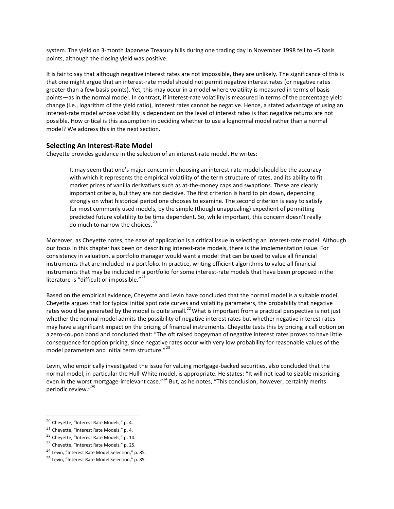system. The yield on 3-month Japanese Treasury bills during one trading day in November 1998 fell to –5 basis points, although the closing yield was positive.

It is fair to say that although negative interest rates are not impossible, they are unlikely. The significance of this is that one might argue that an interest-rate model should not permit negative interest rates (or negative rates greater than a few basis points). Yet, this may occur in a model where volatility is measured in terms of basis points—as in the normal model. In contrast, if interest-rate volatility is measured in terms of the percentage yield change (i.e., logarithm of the yield ratio), interest rates cannot be negative. Hence, a stated advantage of using an interest-rate model whose volatility is dependent on the level of interest rates is that negative returns are not possible. How critical is this assumption in deciding whether to use a lognormal model rather than a normal model? We address this in the next section.

#### **Selecting An Interest-Rate Model**

Cheyette provides guidance in the selection of an interest-rate model. He writes:

It may seem that one's major concern in choosing an interest-rate model should be the accuracy with which it represents the empirical volatility of the term structure of rates, and its ability to fit market prices of vanilla derivatives such as at-the-money caps and swaptions. These are clearly important criteria, but they are not decisive. The first criterion is hard to pin down, depending strongly on what historical period one chooses to examine. The second criterion is easy to satisfy for most commonly used models, by the simple (though unappealing) expedient of permitting predicted future volatility to be time dependent. So, while important, this concern doesn't really do much to narrow the choices.<sup>20</sup>

Moreover, as Cheyette notes, the ease of application is a critical issue in selecting an interest-rate model. Although our focus in this chapter has been on describing interest-rate models, there is the implementation issue. For consistency in valuation, a portfolio manager would want a model that can be used to value all financial instruments that are included in a portfolio. In practice, writing efficient algorithms to value all financial instruments that may be included in a portfolio for some interest-rate models that have been proposed in the literature is "difficult or impossible."<sup>21</sup>

Based on the empirical evidence, Cheyette and Levin have concluded that the normal model is a suitable model. Cheyette argues that for typical initial spot rate curves and volatility parameters, the probability that negative rates would be generated by the model is quite small.<sup>22</sup> What is important from a practical perspective is not just whether the normal model admits the possibility of negative interest rates but whether negative interest rates may have a significant impact on the pricing of financial instruments. Cheyette tests this by pricing a call option on a zero-coupon bond and concluded that: "The oft raised bogeyman of negative interest rates proves to have little consequence for option pricing, since negative rates occur with very low probability for reasonable values of the model parameters and initial term structure."<sup>23</sup>

Levin, who empirically investigated the issue for valuing mortgage-backed securities, also concluded that the normal model, in particular the Hull-White model, is appropriate. He states: "It will not lead to sizable mispricing even in the worst mortgage-irrelevant case."<sup>24</sup> But, as he notes, "This conclusion, however, certainly merits periodic review."<sup>25</sup>

 $20$  Cheyette, "Interest Rate Models," p. 4.

<sup>21</sup> Cheyette, "Interest Rate Models," p. 4.

 $22$  Cheyette, "Interest Rate Models," p. 10.

<sup>23</sup> Cheyette, "Interest Rate Models," p. 25.

<sup>24</sup> Levin, "Interest Rate Model Selection," p. 85.

<sup>25</sup> Levin, "Interest Rate Model Selection," p. 85.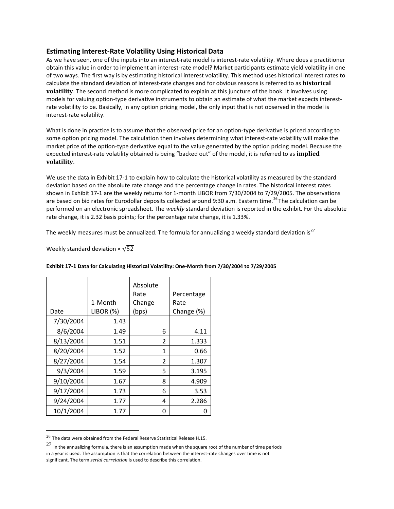## **Estimating Interest-Rate Volatility Using Historical Data**

As we have seen, one of the inputs into an interest-rate model is interest-rate volatility. Where does a practitioner obtain this value in order to implement an interest-rate model? Market participants estimate yield volatility in one of two ways. The first way is by estimating historical interest volatility. This method uses historical interest rates to calculate the standard deviation of interest-rate changes and for obvious reasons is referred to as **historical volatility**. The second method is more complicated to explain at this juncture of the book. It involves using models for valuing option-type derivative instruments to obtain an estimate of what the market expects interestrate volatility to be. Basically, in any option pricing model, the only input that is not observed in the model is interest-rate volatility.

What is done in practice is to assume that the observed price for an option-type derivative is priced according to some option pricing model. The calculation then involves determining what interest-rate volatility will make the market price of the option-type derivative equal to the value generated by the option pricing model. Because the expected interest-rate volatility obtained is being "backed out" of the model, it is referred to as **implied volatility**.

We use the data in Exhibit 17-1 to explain how to calculate the historical volatility as measured by the standard deviation based on the absolute rate change and the percentage change in rates. The historical interest rates shown in Exhibit 17-1 are the weekly returns for 1-month LIBOR from 7/30/2004 to 7/29/2005. The observations are based on bid rates for Eurodollar deposits collected around 9:30 a.m. Eastern time.<sup>26</sup> The calculation can be performed on an electronic spreadsheet. The *weekly* standard deviation is reported in the exhibit. For the absolute rate change, it is 2.32 basis points; for the percentage rate change, it is 1.33%.

The weekly measures must be annualized. The formula for annualizing a weekly standard deviation is<sup>27</sup>

Weekly standard deviation  $\times \sqrt{52}$ 

| Date      | 1-Month<br>LIBOR (%) | Absolute<br>Rate<br>Change<br>(bps) | Percentage<br>Rate<br>Change (%) |
|-----------|----------------------|-------------------------------------|----------------------------------|
| 7/30/2004 | 1.43                 |                                     |                                  |
| 8/6/2004  | 1.49                 | 6                                   | 4.11                             |
| 8/13/2004 | 1.51                 | 2                                   | 1.333                            |
| 8/20/2004 | 1.52                 | 1                                   | 0.66                             |
| 8/27/2004 | 1.54                 | 2                                   | 1.307                            |
| 9/3/2004  | 1.59                 | 5                                   | 3.195                            |
| 9/10/2004 | 1.67                 | 8                                   | 4.909                            |
| 9/17/2004 | 1.73                 | 6                                   | 3.53                             |
| 9/24/2004 | 1.77                 | 4                                   | 2.286                            |
| 10/1/2004 | 1.77                 | O                                   |                                  |

#### **Exhibit 17-1 Data for Calculating Historical Volatility: One-Month from 7/30/2004 to 7/29/2005**

 $^{26}$  The data were obtained from the Federal Reserve Statistical Release H.15.

 $27$  In the annualizing formula, there is an assumption made when the square root of the number of time periods in a year is used. The assumption is that the correlation between the interest-rate changes over time is not significant. The term *serial correlation* is used to describe this correlation.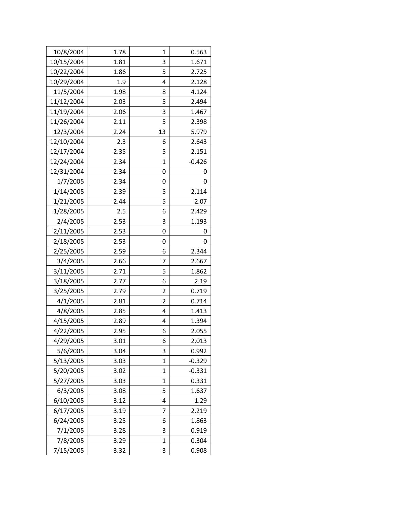| 10/8/2004  | 1.78 | 1  | 0.563    |
|------------|------|----|----------|
| 10/15/2004 | 1.81 | 3  | 1.671    |
| 10/22/2004 | 1.86 | 5  | 2.725    |
| 10/29/2004 | 1.9  | 4  | 2.128    |
| 11/5/2004  | 1.98 | 8  | 4.124    |
| 11/12/2004 | 2.03 | 5  | 2.494    |
| 11/19/2004 | 2.06 | 3  | 1.467    |
| 11/26/2004 | 2.11 | 5  | 2.398    |
| 12/3/2004  | 2.24 | 13 | 5.979    |
| 12/10/2004 | 2.3  | 6  | 2.643    |
| 12/17/2004 | 2.35 | 5  | 2.151    |
| 12/24/2004 | 2.34 | 1  | $-0.426$ |
| 12/31/2004 | 2.34 | 0  | 0        |
| 1/7/2005   | 2.34 | 0  | 0        |
| 1/14/2005  | 2.39 | 5  | 2.114    |
| 1/21/2005  | 2.44 | 5  | 2.07     |
| 1/28/2005  | 2.5  | 6  | 2.429    |
| 2/4/2005   | 2.53 | 3  | 1.193    |
| 2/11/2005  | 2.53 | 0  | 0        |
| 2/18/2005  | 2.53 | 0  | 0        |
| 2/25/2005  | 2.59 | 6  | 2.344    |
| 3/4/2005   | 2.66 | 7  | 2.667    |
| 3/11/2005  | 2.71 | 5  | 1.862    |
| 3/18/2005  | 2.77 | 6  | 2.19     |
| 3/25/2005  | 2.79 | 2  | 0.719    |
| 4/1/2005   | 2.81 | 2  | 0.714    |
| 4/8/2005   | 2.85 | 4  | 1.413    |
| 4/15/2005  | 2.89 | 4  | 1.394    |
| 4/22/2005  | 2.95 | 6  | 2.055    |
| 4/29/2005  | 3.01 | 6  | 2.013    |
| 5/6/2005   | 3.04 | 3  | 0.992    |
| 5/13/2005  | 3.03 | 1  | $-0.329$ |
| 5/20/2005  | 3.02 | 1  | $-0.331$ |
| 5/27/2005  | 3.03 | 1  | 0.331    |
| 6/3/2005   | 3.08 | 5  | 1.637    |
| 6/10/2005  | 3.12 | 4  | 1.29     |
| 6/17/2005  | 3.19 | 7  | 2.219    |
| 6/24/2005  | 3.25 | 6  | 1.863    |
| 7/1/2005   | 3.28 | 3  | 0.919    |
| 7/8/2005   | 3.29 | 1  | 0.304    |
| 7/15/2005  | 3.32 | 3  | 0.908    |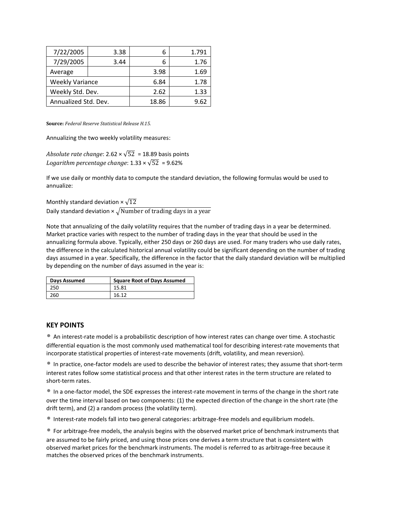| 7/22/2005              | 3.38 | 6     | 1.791 |
|------------------------|------|-------|-------|
| 7/29/2005              | 3.44 | 6     | 1.76  |
| Average                |      | 3.98  | 1.69  |
| <b>Weekly Variance</b> |      | 6.84  | 1.78  |
| Weekly Std. Dev.       |      | 2.62  | 1.33  |
| Annualized Std. Dev.   |      | 18.86 | 9.62  |

**Source:** *Federal Reserve Statistical Release H.15.*

Annualizing the two weekly volatility measures:

*Absolute rate change*:  $2.62 \times \sqrt{52} = 18.89$  basis points *Logarithm percentage change*:  $1.33 \times \sqrt{52}$  = 9.62%

If we use daily or monthly data to compute the standard deviation, the following formulas would be used to annualize:

Monthly standard deviation  $\times \sqrt{12}$ Daily standard deviation  $\times \sqrt{\text{Number of trading days in a year}}$ 

Note that annualizing of the daily volatility requires that the number of trading days in a year be determined. Market practice varies with respect to the number of trading days in the year that should be used in the annualizing formula above. Typically, either 250 days or 260 days are used. For many traders who use daily rates, the difference in the calculated historical annual volatility could be significant depending on the number of trading days assumed in a year. Specifically, the difference in the factor that the daily standard deviation will be multiplied by depending on the number of days assumed in the year is:

| Days Assumed | <b>Square Root of Days Assumed</b> |
|--------------|------------------------------------|
| 250          | 15.81                              |
| 260          | 16.12                              |

#### **KEY POINTS**

• An interest-rate model is a probabilistic description of how interest rates can change over time. A stochastic differential equation is the most commonly used mathematical tool for describing interest-rate movements that incorporate statistical properties of interest-rate movements (drift, volatility, and mean reversion).

• In practice, one-factor models are used to describe the behavior of interest rates; they assume that short-term interest rates follow some statistical process and that other interest rates in the term structure are related to short-term rates.

• In a one-factor model, the SDE expresses the interest-rate movement in terms of the change in the short rate over the time interval based on two components: (1) the expected direction of the change in the short rate (the drift term), and (2) a random process (the volatility term).

• Interest-rate models fall into two general categories: arbitrage-free models and equilibrium models.

• For arbitrage-free models, the analysis begins with the observed market price of benchmark instruments that are assumed to be fairly priced, and using those prices one derives a term structure that is consistent with observed market prices for the benchmark instruments. The model is referred to as arbitrage-free because it matches the observed prices of the benchmark instruments.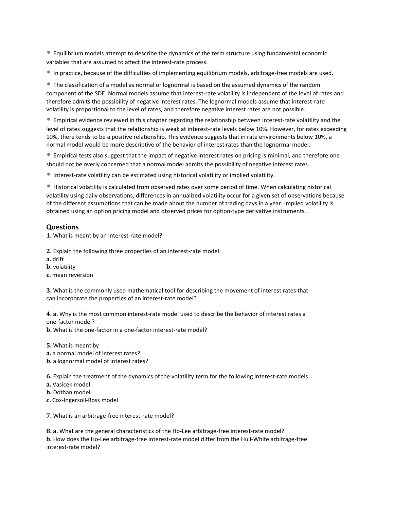• Equilibrium models attempt to describe the dynamics of the term structure using fundamental economic variables that are assumed to affect the interest-rate process.

• In practice, because of the difficulties of implementing equilibrium models, arbitrage-free models are used.

• The classification of a model as normal or lognormal is based on the assumed dynamics of the random component of the SDE. Normal models assume that interest-rate volatility is independent of the level of rates and therefore admits the possibility of negative interest rates. The lognormal models assume that interest-rate volatility is proportional to the level of rates, and therefore negative interest rates are not possible.

• Empirical evidence reviewed in this chapter regarding the relationship between interest-rate volatility and the level of rates suggests that the relationship is weak at interest-rate levels below 10%. However, for rates exceeding 10%, there tends to be a positive relationship. This evidence suggests that in rate environments below 10%, a normal model would be more descriptive of the behavior of interest rates than the lognormal model.

• Empirical tests also suggest that the impact of negative interest rates on pricing is minimal, and therefore one should not be overly concerned that a normal model admits the possibility of negative interest rates.

• Interest-rate volatility can be estimated using historical volatility or implied volatility.

• Historical volatility is calculated from observed rates over some period of time. When calculating historical volatility using daily observations, differences in annualized volatility occur for a given set of observations because of the different assumptions that can be made about the number of trading days in a year. Implied volatility is obtained using an option pricing model and observed prices for option-type derivative instruments.

#### **Questions**

**1.** What is meant by an interest-rate model?

**2.** Explain the following three properties of an interest-rate model:

**a.** drift

**b.** volatility

**c.** mean reversion

**3.** What is the commonly used mathematical tool for describing the movement of interest rates that can incorporate the properties of an interest-rate model?

**4. a.** Why is the most common interest-rate model used to describe the behavior of interest rates a one-factor model?

**b.** What is the one-factor in a one-factor interest-rate model?

**5.** What is meant by **a.** a normal model of interest rates? **b.** a lognormal model of interest rates?

**6.** Explain the treatment of the dynamics of the volatility term for the following interest-rate models:

- **a.** Vasicek model
- **b.** Dothan model
- **c.** Cox-Ingersoll-Ross model

**7.** What is an arbitrage-free interest-rate model?

**8. a.** What are the general characteristics of the Ho-Lee arbitrage-free interest-rate model? **b.** How does the Ho-Lee arbitrage-free interest-rate model differ from the Hull-White arbitrage-free interest-rate model?